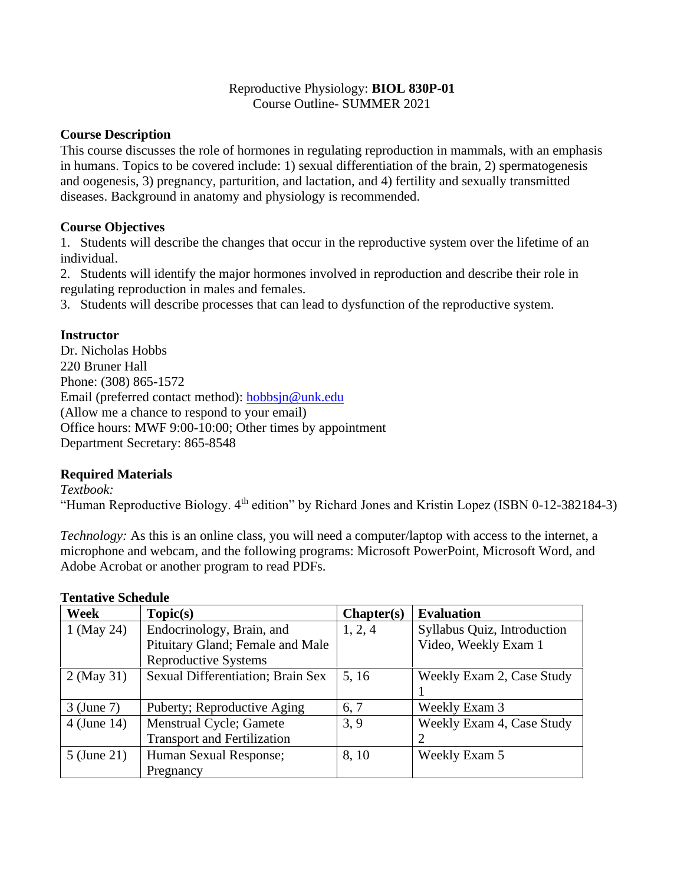## Reproductive Physiology: **BIOL 830P-01** Course Outline- SUMMER 2021

# **Course Description**

This course discusses the role of hormones in regulating reproduction in mammals, with an emphasis in humans. Topics to be covered include: 1) sexual differentiation of the brain, 2) spermatogenesis and oogenesis, 3) pregnancy, parturition, and lactation, and 4) fertility and sexually transmitted diseases. Background in anatomy and physiology is recommended.

# **Course Objectives**

1. Students will describe the changes that occur in the reproductive system over the lifetime of an individual.

2. Students will identify the major hormones involved in reproduction and describe their role in regulating reproduction in males and females.

3. Students will describe processes that can lead to dysfunction of the reproductive system.

# **Instructor**

Dr. Nicholas Hobbs 220 Bruner Hall Phone: (308) 865-1572 Email (preferred contact method): [hobbsjn@unk.edu](mailto:hobbsjn@unk.edu) (Allow me a chance to respond to your email) Office hours: MWF 9:00-10:00; Other times by appointment Department Secretary: 865-8548

### **Required Materials**

### *Textbook:*

"Human Reproductive Biology. 4<sup>th</sup> edition" by Richard Jones and Kristin Lopez (ISBN 0-12-382184-3)

*Technology:* As this is an online class, you will need a computer/laptop with access to the internet, a microphone and webcam, and the following programs: Microsoft PowerPoint, Microsoft Word, and Adobe Acrobat or another program to read PDFs.

| Week        | Topic(s)                           | Chapter(s) | <b>Evaluation</b>           |
|-------------|------------------------------------|------------|-----------------------------|
| 1 (May 24)  | Endocrinology, Brain, and          | 1, 2, 4    | Syllabus Quiz, Introduction |
|             | Pituitary Gland; Female and Male   |            | Video, Weekly Exam 1        |
|             | <b>Reproductive Systems</b>        |            |                             |
| 2 (May 31)  | Sexual Differentiation; Brain Sex  | 5, 16      | Weekly Exam 2, Case Study   |
|             |                                    |            |                             |
| 3 (June 7)  | Puberty; Reproductive Aging        | 6, 7       | Weekly Exam 3               |
| 4 (June 14) | Menstrual Cycle; Gamete            | 3, 9       | Weekly Exam 4, Case Study   |
|             | <b>Transport and Fertilization</b> |            |                             |
| 5 (June 21) | Human Sexual Response;             | 8, 10      | Weekly Exam 5               |
|             | Pregnancy                          |            |                             |

### **Tentative Schedule**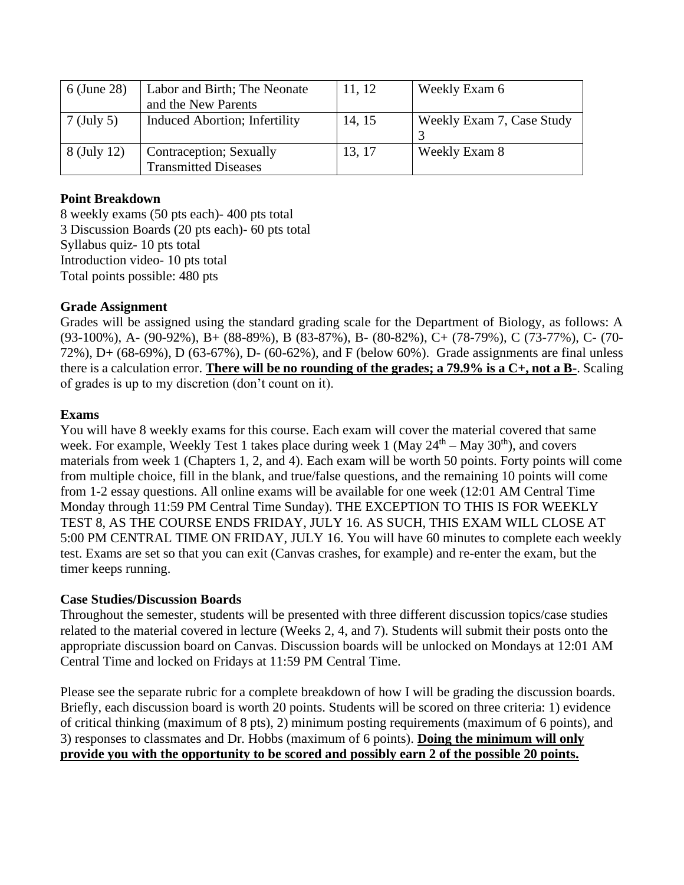| 6 (June 28) | Labor and Birth; The Neonate<br>and the New Parents    | 11, 12 | Weekly Exam 6             |
|-------------|--------------------------------------------------------|--------|---------------------------|
| 7 (July 5)  | <b>Induced Abortion</b> ; Infertility                  | 14, 15 | Weekly Exam 7, Case Study |
| 8 (July 12) | Contraception; Sexually<br><b>Transmitted Diseases</b> | 13, 17 | Weekly Exam 8             |

# **Point Breakdown**

8 weekly exams (50 pts each)- 400 pts total 3 Discussion Boards (20 pts each)- 60 pts total Syllabus quiz- 10 pts total Introduction video- 10 pts total Total points possible: 480 pts

# **Grade Assignment**

Grades will be assigned using the standard grading scale for the Department of Biology, as follows: A (93-100%), A- (90-92%), B+ (88-89%), B (83-87%), B- (80-82%), C+ (78-79%), C (73-77%), C- (70- 72%), D+ (68-69%), D (63-67%), D- (60-62%), and F (below 60%). Grade assignments are final unless there is a calculation error. **There will be no rounding of the grades; a 79.9% is a C+, not a B-**. Scaling of grades is up to my discretion (don't count on it).

# **Exams**

You will have 8 weekly exams for this course. Each exam will cover the material covered that same week. For example, Weekly Test 1 takes place during week 1 (May  $24<sup>th</sup> -$  May  $30<sup>th</sup>$ ), and covers materials from week 1 (Chapters 1, 2, and 4). Each exam will be worth 50 points. Forty points will come from multiple choice, fill in the blank, and true/false questions, and the remaining 10 points will come from 1-2 essay questions. All online exams will be available for one week (12:01 AM Central Time Monday through 11:59 PM Central Time Sunday). THE EXCEPTION TO THIS IS FOR WEEKLY TEST 8, AS THE COURSE ENDS FRIDAY, JULY 16. AS SUCH, THIS EXAM WILL CLOSE AT 5:00 PM CENTRAL TIME ON FRIDAY, JULY 16. You will have 60 minutes to complete each weekly test. Exams are set so that you can exit (Canvas crashes, for example) and re-enter the exam, but the timer keeps running.

### **Case Studies/Discussion Boards**

Throughout the semester, students will be presented with three different discussion topics/case studies related to the material covered in lecture (Weeks 2, 4, and 7). Students will submit their posts onto the appropriate discussion board on Canvas. Discussion boards will be unlocked on Mondays at 12:01 AM Central Time and locked on Fridays at 11:59 PM Central Time.

Please see the separate rubric for a complete breakdown of how I will be grading the discussion boards. Briefly, each discussion board is worth 20 points. Students will be scored on three criteria: 1) evidence of critical thinking (maximum of 8 pts), 2) minimum posting requirements (maximum of 6 points), and 3) responses to classmates and Dr. Hobbs (maximum of 6 points). **Doing the minimum will only provide you with the opportunity to be scored and possibly earn 2 of the possible 20 points.**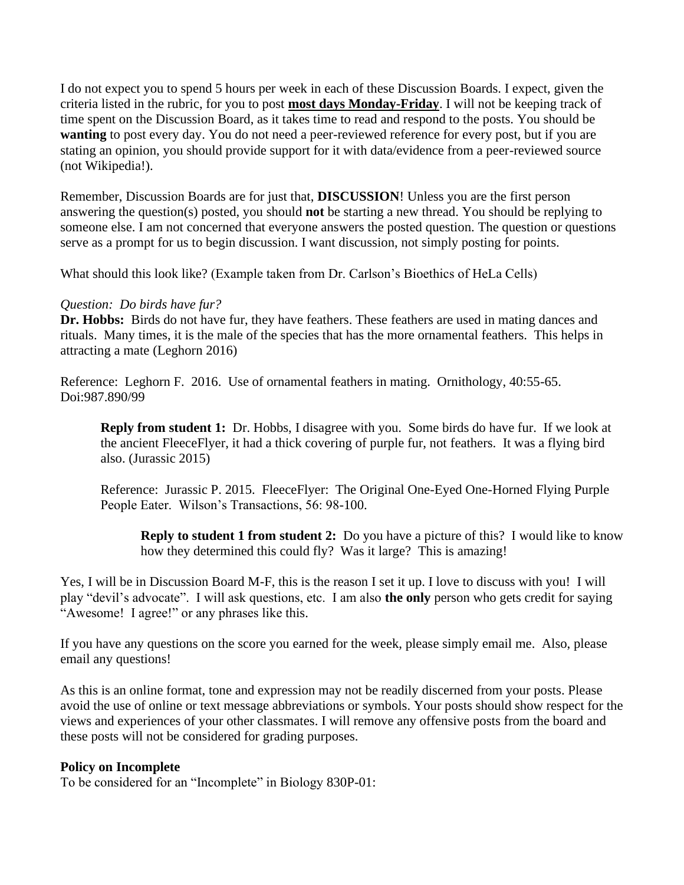I do not expect you to spend 5 hours per week in each of these Discussion Boards. I expect, given the criteria listed in the rubric, for you to post **most days Monday-Friday**. I will not be keeping track of time spent on the Discussion Board, as it takes time to read and respond to the posts. You should be **wanting** to post every day. You do not need a peer-reviewed reference for every post, but if you are stating an opinion, you should provide support for it with data/evidence from a peer-reviewed source (not Wikipedia!).

Remember, Discussion Boards are for just that, **DISCUSSION**! Unless you are the first person answering the question(s) posted, you should **not** be starting a new thread. You should be replying to someone else. I am not concerned that everyone answers the posted question. The question or questions serve as a prompt for us to begin discussion. I want discussion, not simply posting for points.

What should this look like? (Example taken from Dr. Carlson's Bioethics of HeLa Cells)

# *Question: Do birds have fur?*

**Dr. Hobbs:** Birds do not have fur, they have feathers. These feathers are used in mating dances and rituals. Many times, it is the male of the species that has the more ornamental feathers. This helps in attracting a mate (Leghorn 2016)

Reference: Leghorn F. 2016. Use of ornamental feathers in mating. Ornithology, 40:55-65. Doi:987.890/99

**Reply from student 1:** Dr. Hobbs, I disagree with you. Some birds do have fur. If we look at the ancient FleeceFlyer, it had a thick covering of purple fur, not feathers. It was a flying bird also. (Jurassic 2015)

Reference: Jurassic P. 2015. FleeceFlyer: The Original One-Eyed One-Horned Flying Purple People Eater. Wilson's Transactions, 56: 98-100.

**Reply to student 1 from student 2:** Do you have a picture of this? I would like to know how they determined this could fly? Was it large? This is amazing!

Yes, I will be in Discussion Board M-F, this is the reason I set it up. I love to discuss with you! I will play "devil's advocate". I will ask questions, etc. I am also **the only** person who gets credit for saying "Awesome! I agree!" or any phrases like this.

If you have any questions on the score you earned for the week, please simply email me. Also, please email any questions!

As this is an online format, tone and expression may not be readily discerned from your posts. Please avoid the use of online or text message abbreviations or symbols. Your posts should show respect for the views and experiences of your other classmates. I will remove any offensive posts from the board and these posts will not be considered for grading purposes.

# **Policy on Incomplete**

To be considered for an "Incomplete" in Biology 830P-01: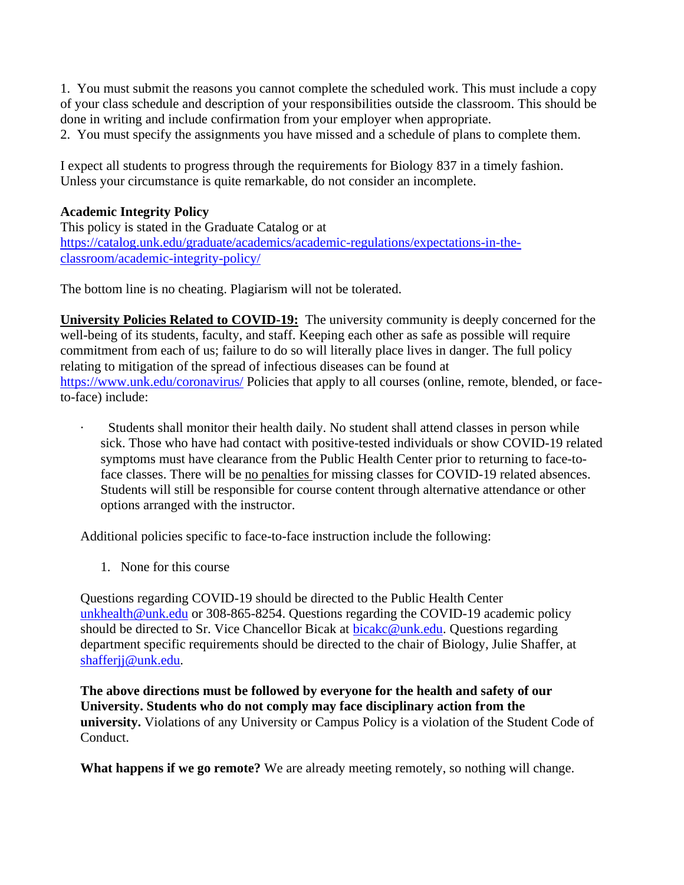1. You must submit the reasons you cannot complete the scheduled work. This must include a copy of your class schedule and description of your responsibilities outside the classroom. This should be done in writing and include confirmation from your employer when appropriate.

2. You must specify the assignments you have missed and a schedule of plans to complete them.

I expect all students to progress through the requirements for Biology 837 in a timely fashion. Unless your circumstance is quite remarkable, do not consider an incomplete.

# **Academic Integrity Policy**

This policy is stated in the Graduate Catalog or at [https://catalog.unk.edu/graduate/academics/academic-regulations/expectations-in-the](https://catalog.unk.edu/graduate/academics/academic-regulations/expectations-in-the-classroom/academic-integrity-policy/)[classroom/academic-integrity-policy/](https://catalog.unk.edu/graduate/academics/academic-regulations/expectations-in-the-classroom/academic-integrity-policy/)

The bottom line is no cheating. Plagiarism will not be tolerated.

**University Policies Related to COVID-19:** The university community is deeply concerned for the well-being of its students, faculty, and staff. Keeping each other as safe as possible will require commitment from each of us; failure to do so will literally place lives in danger. The full policy relating to mitigation of the spread of infectious diseases can be found at <https://www.unk.edu/coronavirus/> Policies that apply to all courses (online, remote, blended, or faceto-face) include:

· Students shall monitor their health daily. No student shall attend classes in person while sick. Those who have had contact with positive-tested individuals or show COVID-19 related symptoms must have clearance from the Public Health Center prior to returning to face-toface classes. There will be no penalties for missing classes for COVID-19 related absences. Students will still be responsible for course content through alternative attendance or other options arranged with the instructor.

Additional policies specific to face-to-face instruction include the following:

1. None for this course

Questions regarding COVID-19 should be directed to the Public Health Center [unkhealth@unk.edu](mailto:unkhealth@unk.edu) or 308-865-8254. Questions regarding the COVID-19 academic policy should be directed to Sr. Vice Chancellor Bicak at [bicakc@unk.edu.](mailto:bicakc@unk.edu) Questions regarding department specific requirements should be directed to the chair of Biology, Julie Shaffer, at [shafferjj@unk.edu.](mailto:shafferjj@unk.edu)

**The above directions must be followed by everyone for the health and safety of our University. Students who do not comply may face disciplinary action from the university.** Violations of any University or Campus Policy is a violation of the Student Code of Conduct.

**What happens if we go remote?** We are already meeting remotely, so nothing will change.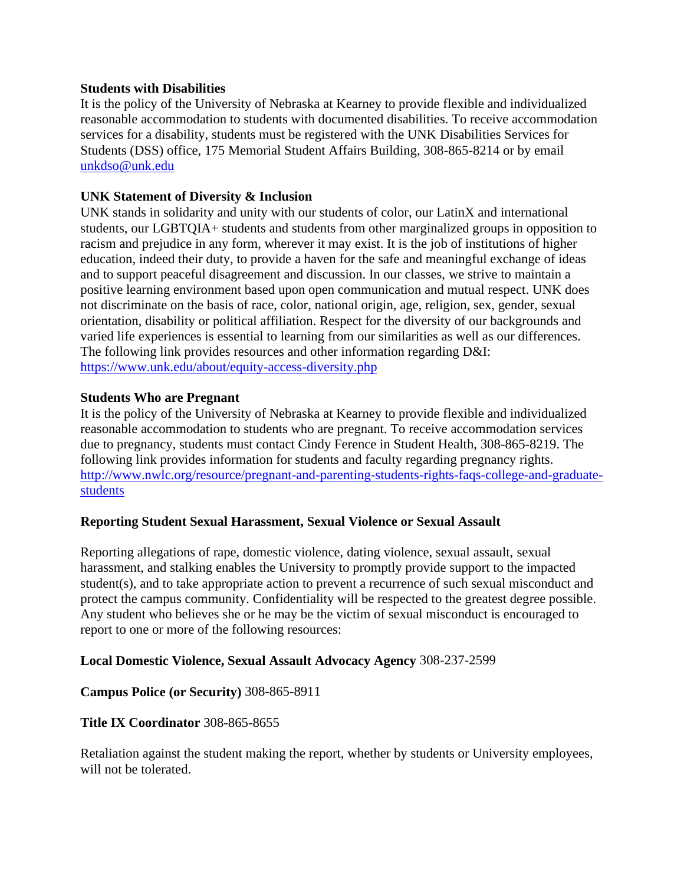#### **Students with Disabilities**

It is the policy of the University of Nebraska at Kearney to provide flexible and individualized reasonable accommodation to students with documented disabilities. To receive accommodation services for a disability, students must be registered with the UNK Disabilities Services for Students (DSS) office, 175 Memorial Student Affairs Building, 308-865-8214 or by email [unkdso@unk.edu](mailto:unkdso@unk.edu)

## **UNK Statement of Diversity & Inclusion**

UNK stands in solidarity and unity with our students of color, our LatinX and international students, our LGBTQIA+ students and students from other marginalized groups in opposition to racism and prejudice in any form, wherever it may exist. It is the job of institutions of higher education, indeed their duty, to provide a haven for the safe and meaningful exchange of ideas and to support peaceful disagreement and discussion. In our classes, we strive to maintain a positive learning environment based upon open communication and mutual respect. UNK does not discriminate on the basis of race, color, national origin, age, religion, sex, gender, sexual orientation, disability or political affiliation. Respect for the diversity of our backgrounds and varied life experiences is essential to learning from our similarities as well as our differences. The following link provides resources and other information regarding D&I: <https://www.unk.edu/about/equity-access-diversity.php>

### **Students Who are Pregnant**

It is the policy of the University of Nebraska at Kearney to provide flexible and individualized reasonable accommodation to students who are pregnant. To receive accommodation services due to pregnancy, students must contact Cindy Ference in Student Health, 308-865-8219. The following link provides information for students and faculty regarding pregnancy rights. [http://www.nwlc.org/resource/pregnant-and-parenting-students-rights-faqs-college-and-graduate](https://urldefense.proofpoint.com/v2/url?u=http-3A__www.nwlc.org_resource_pregnant-2Dand-2Dparenting-2Dstudents-2Drights-2Dfaqs-2Dcollege-2Dand-2Dgraduate-2Dstudents&d=DwMFAg&c=Cu5g146wZdoqVuKpTNsYHeFX_rg6kWhlkLF8Eft-wwo&r=BJkIhAaMtWY7PlqIhIOyVw&m=RgBL3s2VNHfvD5ReMK2q_PhwYU8dbEt1vxs1BO4WkpQ&s=MmB91XAzaW-E7UPMXPGx9tWJQbTWJYyYzM8gLjhEzQ0&e=)[students](https://urldefense.proofpoint.com/v2/url?u=http-3A__www.nwlc.org_resource_pregnant-2Dand-2Dparenting-2Dstudents-2Drights-2Dfaqs-2Dcollege-2Dand-2Dgraduate-2Dstudents&d=DwMFAg&c=Cu5g146wZdoqVuKpTNsYHeFX_rg6kWhlkLF8Eft-wwo&r=BJkIhAaMtWY7PlqIhIOyVw&m=RgBL3s2VNHfvD5ReMK2q_PhwYU8dbEt1vxs1BO4WkpQ&s=MmB91XAzaW-E7UPMXPGx9tWJQbTWJYyYzM8gLjhEzQ0&e=)

### **Reporting Student Sexual Harassment, Sexual Violence or Sexual Assault**

Reporting allegations of rape, domestic violence, dating violence, sexual assault, sexual harassment, and stalking enables the University to promptly provide support to the impacted student(s), and to take appropriate action to prevent a recurrence of such sexual misconduct and protect the campus community. Confidentiality will be respected to the greatest degree possible. Any student who believes she or he may be the victim of sexual misconduct is encouraged to report to one or more of the following resources:

### **Local Domestic Violence, Sexual Assault Advocacy Agency** 308-237-2599

### **Campus Police (or Security)** 308-865-8911

### **Title IX Coordinator** 308-865-8655

Retaliation against the student making the report, whether by students or University employees, will not be tolerated.